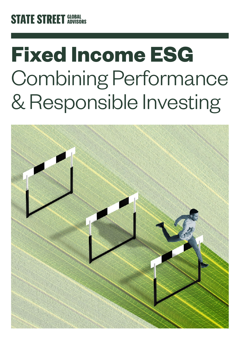# **STATE STREET GLOBAL**

# **Fixed Income ESG** Combining Performance & Responsible Investing

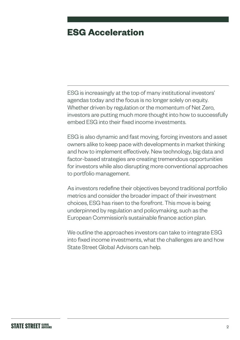# **ESG Acceleration**

ESG is increasingly at the top of many institutional investors' agendas today and the focus is no longer solely on equity. Whether driven by regulation or the momentum of Net Zero, investors are putting much more thought into how to successfully embed ESG into their fixed income investments.

ESG is also dynamic and fast moving, forcing investors and asset owners alike to keep pace with developments in market thinking and how to implement effectively. New technology, big data and factor-based strategies are creating tremendous opportunities for investors while also disrupting more conventional approaches to portfolio management.

As investors redefine their objectives beyond traditional portfolio metrics and consider the broader impact of their investment choices, ESG has risen to the forefront. This move is being underpinned by regulation and policymaking, such as the European Commission's sustainable finance action plan.

We outline the approaches investors can take to integrate ESG into fixed income investments, what the challenges are and how State Street Global Advisors can help.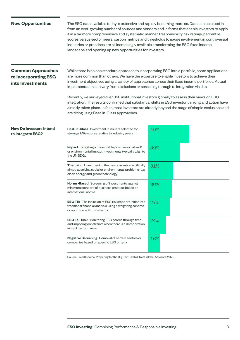#### **New Opportunities**

The ESG data available today is extensive and rapidly becoming more so. Data can be piped in from an ever-growing number of sources and vendors and in forms that enable investors to apply it in a far more comprehensive and systematic manner. Responsibility risk ratings, percentile scores versus sector peers, carbon metrics and thresholds to gauge involvement in controversial industries or practices are all increasingly available, transforming the ESG fixed income landscape and opening up new opportunities for investors.

# **Common Approaches to Incorporating ESG into Investments**

While there is no one standard approach to incorporating ESG into a portfolio, some applications are more common than others. We have the expertise to enable investors to achieve their investment objectives using a variety of approaches across their fixed income portfolios. Actual implementation can vary from exclusions or screening through to integration via tilts.

Recently, we surveyed over 350 institutional investors globally to assess their views on ESG integration. The results confirmed that substantial shifts in ESG investor thinking and action have already taken place. In fact, most investors are already beyond the stage of simple exclusions and are tilting using Best-in-Class approaches.

### **How Do Investors Intend to Integrate ESG? Best-in-Class** Investment in issuers selected for

| <b>Best-in-Class</b> Investment in issuers selected for<br>stronger ESG scores relative to industry peers                                                    | 49% |
|--------------------------------------------------------------------------------------------------------------------------------------------------------------|-----|
| <b>Impact</b> Targeting a measurable positive social and/<br>or environmental impact. Investments typically align to<br>the UN SDGs                          | 39% |
| <b>Thematic</b> Investment in themes or assets specifically<br>aimed at solving social or environmental problems (e.g.<br>clean energy and green technology) | 31% |
| <b>Norms-Based</b> Screening of investments against<br>minimum standard of business practice, based on<br>international norms                                | 30% |
| <b>ESG Tilt</b> The inclusion of ESG risks/opportunities into<br>traditional financial analysis using a weighting scheme<br>or optimizer with constraints    | 27% |
| <b>ESG Tail Risk</b> Monitoring ESG scores through time<br>and imposing constraints when there is a deterioration<br>in ESG performance                      | 24% |
| <b>Negative Screening</b> Removal of certain sectors or<br>companies based on specific ESG criteria                                                          | 16% |

Source: Fixed Income: Preparing for the Big Shift, State Street Global Advisors, 2021.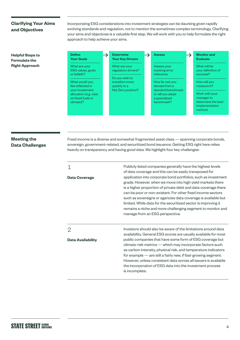# **Clarifying Your Aims and Objectives**

Incorporating ESG considerations into investment strategies can be daunting given rapidly evolving standards and regulation, not to mention the sometimes complex terminology. Clarifying your aims and objectives is a valuable first step. We will work with you to help formulate the right approach to help achieve your aims.

**Helpful Steps to Formulate the Right Approach**

| <b>Define</b><br><b>Your Goals</b>                                                                                 | <b>Determine</b><br><b>Your Key Drivers</b>                             | <b>Assess</b>                                                                                               | <b>Monitor and</b><br><b>Evaluate</b>                                                                          |
|--------------------------------------------------------------------------------------------------------------------|-------------------------------------------------------------------------|-------------------------------------------------------------------------------------------------------------|----------------------------------------------------------------------------------------------------------------|
| What are your<br><b>ESG values, goals</b><br>or beliefs?                                                           | What are your<br>regulatory drivers?                                    | Assess your<br>tracking error<br>tolerance.                                                                 | What will be<br>your definition of<br>success?                                                                 |
| What would you<br>like reflected in<br>your investment<br>allocation (e.g. view<br>on fossil fuels or<br>climate)? | Do you wish to<br>transition more<br>quickly to a<br>Net Zero position? | How far can you<br>deviate from a<br>standard benchmark<br>or will you adopt<br>a specialized<br>benchmark? | How will you<br>measure it?<br>Work with your<br>manager to<br>determine the best<br>implementation<br>method. |

# **Meeting the Data Challenges**

Fixed income is a diverse and somewhat fragmented asset class — spanning corporate bonds, sovereign, government-related, and securitized bond issuance. Getting ESG right here relies heavily on transparency and having good data. We highlight four key challenges:

| Data Coverage                              | Publicly listed companies generally have the highest levels<br>of data coverage and this can be easily transposed for<br>application into corporate bond portfolios, such as investment<br>grade. However, when we move into high yield markets there<br>is a higher proportion of private debt and data coverage there<br>can be poor or non-existent. For other fixed income sectors<br>such as sovereigns or agencies data coverage is available but<br>limited. While data for the securitized sector is improving it<br>remains a niche and more challenging segment to monitor and<br>manage from an ESG perspective. |
|--------------------------------------------|-----------------------------------------------------------------------------------------------------------------------------------------------------------------------------------------------------------------------------------------------------------------------------------------------------------------------------------------------------------------------------------------------------------------------------------------------------------------------------------------------------------------------------------------------------------------------------------------------------------------------------|
| $\overline{2}$<br><b>Data Availability</b> | Investors should also be aware of the limitations around data<br>availability. General ESG scores are usually available for most<br>public companies that have some form of ESG coverage but<br>climate-risk metrics — which may incorporate factors such<br>as carbon intensity, physical risk, and temperature indicators<br>for example - are still a fairly new, if fast-growing segment.<br>However, unless consistent data across all issuers is available<br>the incorporation of ESG data into the investment process<br>is incomplete.                                                                             |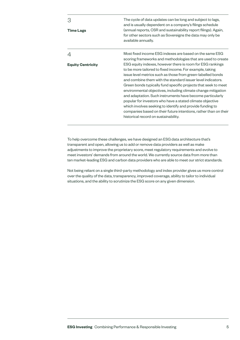| <b>Time Lags</b>         | The cycle of data updates can be long and subject to lags,<br>and is usually dependent on a company's filings schedule<br>(annual reports, CSR and sustainability report filings). Again,<br>for other sectors such as Sovereigns the data may only be<br>available annually.                                                                                                                                                                                                                                                                                                                                                                                                              |
|--------------------------|--------------------------------------------------------------------------------------------------------------------------------------------------------------------------------------------------------------------------------------------------------------------------------------------------------------------------------------------------------------------------------------------------------------------------------------------------------------------------------------------------------------------------------------------------------------------------------------------------------------------------------------------------------------------------------------------|
|                          | Most fixed income ESG indexes are based on the same ESG<br>scoring frameworks and methodologies that are used to create                                                                                                                                                                                                                                                                                                                                                                                                                                                                                                                                                                    |
| <b>Equity Centricity</b> | ESG equity indexes, however there is room for ESG rankings<br>to be more tailored to fixed income. For example, taking<br>issue level metrics such as those from green-labelled bonds<br>and combine them with the standard issuer level indicators.<br>Green bonds typically fund specific projects that seek to meet<br>environmental objectives, including climate change mitigation<br>and adaptation. Such instruments have become particularly<br>popular for investors who have a stated climate objective<br>which involves seeking to identify and provide funding to<br>companies based on their future intentions, rather than on their<br>historical record on sustainability. |

To help overcome these challenges, we have designed an ESG data architecture that's transparent and open, allowing us to add or remove data providers as well as make adjustments to improve the proprietary score, meet regulatory requirements and evolve to meet investors' demands from around the world. We currently source data from more than ten market-leading ESG and carbon data providers who are able to meet our strict standards.

Not being reliant on a single third-party methodology and index provider gives us more control over the quality of the data, transparency, improved coverage, ability to tailor to individual situations, and the ability to scrutinize the ESG score on any given dimension.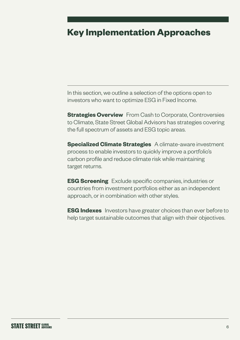# **Key Implementation Approaches**

In this section, we outline a selection of the options open to investors who want to optimize ESG in Fixed Income.

**Strategies Overview** From Cash to Corporate, Controversies to Climate, State Street Global Advisors has strategies covering the full spectrum of assets and ESG topic areas.

**Specialized Climate Strategies** A climate-aware investment process to enable investors to quickly improve a portfolio's carbon profile and reduce climate risk while maintaining target returns.

**ESG Screening** Exclude specific companies, industries or countries from investment portfolios either as an independent approach, or in combination with other styles.

**ESG Indexes** Investors have greater choices than ever before to help target sustainable outcomes that align with their objectives.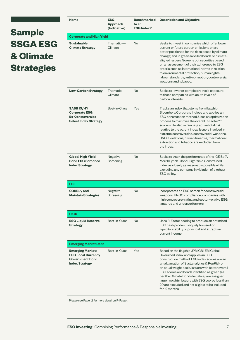# **Sample SSGA ESG & Climate Strategies**

| <b>Name</b>                                                                                             | <b>ESG</b><br><b>Approach</b><br>(Indicative) | <b>Benchmarked</b><br>to an<br><b>ESG Index?</b> | <b>Description and Objective</b>                                                                                                                                                                                                                                                                                                                                                                                                                                                |  |
|---------------------------------------------------------------------------------------------------------|-----------------------------------------------|--------------------------------------------------|---------------------------------------------------------------------------------------------------------------------------------------------------------------------------------------------------------------------------------------------------------------------------------------------------------------------------------------------------------------------------------------------------------------------------------------------------------------------------------|--|
| <b>Corporate and High Yield</b>                                                                         |                                               |                                                  |                                                                                                                                                                                                                                                                                                                                                                                                                                                                                 |  |
| <b>Sustainable</b><br><b>Climate Strategy</b>                                                           | Thematic $-$<br>Climate                       | No                                               | Seeks to invest in companies which offer lower<br>current or future carbon emissions or are<br>better positioned for the risks posed by climate<br>change; and in green-labelled bonds or climate-<br>aligned issuers. Screens out securities based<br>on an assessment of their adherence to ESG<br>criteria such as international norms in relation<br>to environmental protection, human rights,<br>labour standards, anti-corruption, controversial<br>weapons and tobacco. |  |
| <b>Low-Carbon Strategy</b>                                                                              | Thematic $-$<br>Climate                       | <b>No</b>                                        | Seeks to lower or completely avoid exposure<br>to those companies with acute levels of<br>carbon intensity.                                                                                                                                                                                                                                                                                                                                                                     |  |
| SASB IG/HY<br><b>Corporate ESG</b><br><b>Ex-Controversies</b><br><b>Select Index Strategy</b>           | Best-in-Class                                 | Yes                                              | Tracks an index that stems from flagship<br>Bloomberg Corporate Indices and applies an<br>ESG construction method. Uses an optimization<br>process to maximize the overall R-Factor™*<br>score while also minimizing active total risk<br>relative to the parent index. Issuers involved in<br>extreme controversies, controversial weapons,<br>UNGC violations, civilian firearms, thermal coal<br>extraction and tobacco are excluded from<br>the index.                      |  |
| Global High Yield<br><b>Bond ESG Screened</b><br><b>Index Strategy</b>                                  | Negative<br>Screening                         | <b>No</b>                                        | Seeks to track the performance of the ICE BofA<br>Merrill Lynch Global High Yield Constrained<br>Index as closely as reasonably possible while<br>excluding any company in violation of a robust<br>ESG policy.                                                                                                                                                                                                                                                                 |  |
| <b>LDI</b>                                                                                              |                                               |                                                  |                                                                                                                                                                                                                                                                                                                                                                                                                                                                                 |  |
| <b>CDI/Buy and</b><br><b>Maintain Strategies</b>                                                        | Negative<br>Screening                         | No                                               | Incorporates an ESG screen for controversial<br>weapons, UNGC compliance, companies with<br>high controversy rating and sector-relative ESG<br>laggards and underperformers.                                                                                                                                                                                                                                                                                                    |  |
| Cash                                                                                                    |                                               |                                                  |                                                                                                                                                                                                                                                                                                                                                                                                                                                                                 |  |
| <b>ESG Liquid Reserve</b><br><b>Strategy</b>                                                            | Best-in-Class                                 | No                                               | Uses R-Factor scoring to produce an optimized<br>ESG cash product uniquely focused on<br>liquidity, stability of principal and attractive<br>current income.                                                                                                                                                                                                                                                                                                                    |  |
| <b>Emerging Market Debt</b>                                                                             |                                               |                                                  |                                                                                                                                                                                                                                                                                                                                                                                                                                                                                 |  |
| <b>Emerging Markets</b><br><b>ESG Local Currency</b><br><b>Government Bond</b><br><b>Index Strategy</b> | Best-in-Class                                 | Yes                                              | Based on the flagship JPM GBI-EM Global<br>Diversified index and applies an ESG<br>construction method. ESG index scores are an<br>amalgamation of Sustainalytics & RepRisk on<br>an equal weight basis. Issuers with better overall<br>ESG scores and bonds identified as green (as<br>per the Climate Bonds Initiative) are assigned<br>larger weights. Issuers with ESG scores less than<br>20 are excluded and not eligible to be included<br>for 12 months.                |  |

\* Please see Page 12 for more detail on R-Factor.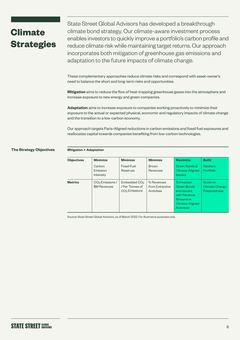# **Climate Strategies**

State Street Global Advisors has developed a breakthrough climate bond strategy. Our climate-aware investment process enables investors to quickly improve a portfolio's carbon profile and reduce climate risk while maintaining target returns. Our approach incorporates both mitigation of greenhouse gas emissions and adaptation to the future impacts of climate change.

These complementary approaches reduce climate risks and correspond with asset-owner's need to balance the short and long-term risks and opportunities.

**Mitigation** aims to reduce the flow of heat-trapping greenhouse gases into the atmosphere and increase exposure to new energy and green companies.

**Adaptation** aims to increase exposure to companies working proactively to minimize their exposure to the actual or expected physical, economic and regulatory impacts of climate change and the transition to a low-carbon economy.

Our approach targets Paris-Aligned reductions in carbon emissions and fossil fuel exposures and reallocates capital towards companies benefiting from low-carbon technologies.

#### **The Strategy Objectives**

#### **Mitigation + Adaptation**

| <b>Objectives</b> | <b>Minimize</b>                             | <b>Minimize</b>                                                          | <b>Minimize</b>                             | <b>Maximize</b>                                                                                                       | <b>Build</b>                                      |
|-------------------|---------------------------------------------|--------------------------------------------------------------------------|---------------------------------------------|-----------------------------------------------------------------------------------------------------------------------|---------------------------------------------------|
|                   | Carbon<br>Emission<br>Intensity             | <b>Fossil Fuel</b><br>Reserves                                           | <b>Brown</b><br>Revenues                    | Green Bonds &<br>Climate-Aligned<br><b>Issuers</b>                                                                    | <b>Resilient</b><br><b>Portfolio</b>              |
| <b>Metrics</b>    | CO <sub>2</sub> Emissions /<br>\$M Revenues | Embedded CO <sub>2</sub><br>/ Per Tonnes of<br>CO <sub>2</sub> Emissions | % Revenues<br>from Extractive<br>Activities | % Invested<br><b>Green Bonds</b><br>and Issuers<br>with Revenue<br>Streams in<br>Climate-Aligned<br><b>Activities</b> | Score on<br>Climate Change<br><b>Preparedness</b> |

Source: State Street Global Advisors, as of March 2022. For illustrative purposes only.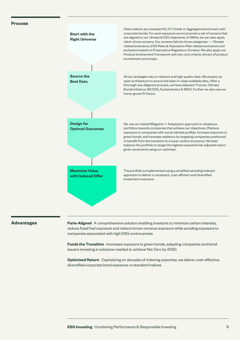#### **Process**



#### **Advantages**

**Paris-Aligned** A comprehensive solution enabling investors to minimize carbon intensity, reduce fossil fuel exposure and reduce brown revenue exposure while avoiding exposure to companies associated with high ESG controversies.

**Funds the Transition** Increases exposure to green bonds, adapting companies and bond issuers investing in solutions needed to achieve Net Zero by 2050.

**Optimized Return** Capitalizing on decades of indexing expertise, we deliver cost-effective, diversified corporate bond exposure vs standard indices.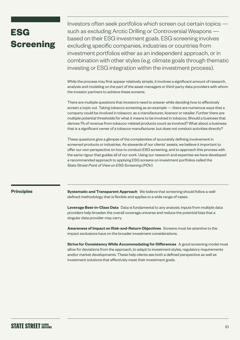# **ESG Screening**

Investors often seek portfolios which screen out certain topics such as excluding Arctic Drilling or Controversial Weapons based on their ESG investment goals. ESG screening involves excluding specific companies, industries or countries from investment portfolios either as an independent approach, or in combination with other styles (e.g. climate goals through thematic investing or ESG integration within the investment process).

While the process may first appear relatively simple, it involves a significant amount of research, analysis and modeling on the part of the asset managers or third-party data providers with whom the investor partners to achieve these screens.

There are multiple questions that investors need to answer while deciding how to effectively screen a topic out. Taking tobacco screening as an example — there are numerous ways that a company could be involved in tobacco: as a manufacturer, licensor or retailer. Further there are multiple potential thresholds for what it means to be involved in tobacco. Should a business that derives 1% of revenue from tobacco-related products count as involved? What about a business that is a significant owner of a tobacco manufacturer, but does not conduct activities directly?

These questions give a glimpse of the complexities of accurately defining involvement in screened products or industries. As stewards of our clients' assets, we believe it important to offer our own perspective on how to conduct ESG screening, and to approach this process with the same rigour that guides all of our work. Using our research and expertise we have developed a recommended approach to applying ESG screens on investment portfolios called the *State Street Point of View on ESG Screening (POV)*.

### **Principles**

**Systematic and Transparent Approach** We believe that screening should follow a welldefined methodology that is flexible and applies to a wide range of cases.

**Leverage Best-in-Class Data** Data is fundamental to any analysis. Inputs from multiple data providers help broaden the overall coverage universe and reduce the potential bias that a singular data provider may carry.

**Awareness of Impact on Risk-and-Return Objectives** Screens must be attentive to the impact exclusions have on the broader investment considerations.

**Strive for Consistency While Accommodating for Differences** A good screening model must allow for deviations from the approach, to adapt to investment styles, regulatory requirements and/or market developments. These help clients see both a defined perspective as well as investment solutions that effectively meet their investment goals.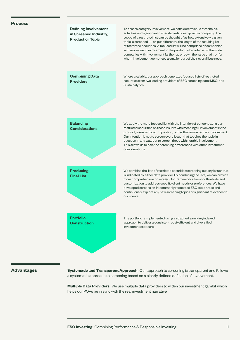#### **Process**



#### **Advantages**

**Systematic and Transparent Approach** Our approach to screening is transparent and follows a systematic approach to screening based on a clearly defined definition of involvement.

**Multiple Data Providers** We use multiple data providers to widen our investment gambit which helps our POVs be in sync with the real investment narrative.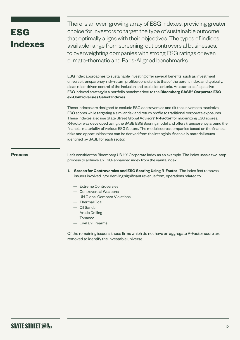# **ESG Indexes**

There is an ever-growing array of ESG indexes, providing greater choice for investors to target the type of sustainable outcome that optimally aligns with their objectives. The types of indices available range from screening-out controversial businesses, to overweighting companies with strong ESG ratings or even climate-thematic and Paris-Aligned benchmarks.

ESG index approaches to sustainable investing offer several benefits, such as investment universe transparency, risk–return profiles consistent to that of the parent index, and typically, clear, rules-driven control of the inclusion and exclusion criteria. An example of a passive ESG indexed strategy is a portfolio benchmarked to the **Bloomberg SASB® Corporate ESG ex-Controversies Select Indexes.**

These indexes are designed to exclude ESG controversies and tilt the universe to maximize ESG scores while targeting a similar risk and return profile to traditional corporate exposures. These indexes also use State Street Global Advisors' **R-Factor** for maximizing ESG scores. R-Factor was developed using the SASB ESG Scoring model and offers transparency around the financial materiality of various ESG factors. The model scores companies based on the financial risks and opportunities that can be derived from the intangible, financially material issues identified by SASB for each sector.

### **Process**

Let's consider the Bloomberg US HY Corporate Index as an example. The index uses a two-step process to achieve an ESG-enhanced index from the vanilla index.

- **1 Screen for Controversies and ESG Scoring Using R-Factor** The index first removes issuers involved in/or deriving significant revenue from, operations related to:
	- Extreme Controversies
	- Controversial Weapons
	- UN Global Compact Violations
	- Thermal Coal
	- Oil Sands
	- Arctic Drilling
	- Tobacco
	- Civilian Firearms

Of the remaining issuers, those firms which do not have an aggregate R-Factor score are removed to identify the investable universe.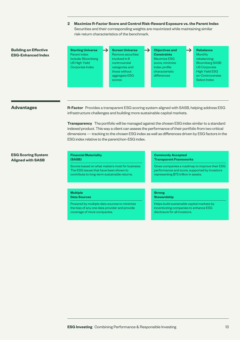**2 Maximize R-Factor Score and Control Risk-Reward Exposure vs. the Parent Index** Securities and their corresponding weights are maximized while maintaining similar risk-return characteristics of the benchmark.

→

### **Building an Effective ESG-Enhanced Index**

- **Starting Universe** Parent index include: Bloomberg US High Yield Corporate Index
- **Screen Universe** Remove securities involved in 8 controversial categories and those without aggregate ESG scores
- **Objectives and Constraints** Maximize ESG score, minimize index profile characteristic differences
- **Rebalance Monthly** rebalancing: Bloomberg SASB US Corporate High Yield ESG ex-Controversies Select Index

→

### **Advantages**

**R-Factor** Provides a transparent ESG scoring system aligned with SASB, helping address ESG infrastructure challenges and building more sustainable capital markets.

**Transparency** The portfolio will be managed against the chosen ESG index similar to a standard indexed product. This way a client can assess the performance of their portfolio from two critical dimensions — tracking to the chosen ESG index as well as differences driven by ESG factors in the ESG index relative to the parent/non-ESG index.

#### **ESG Scoring System Aligned with SASB**

#### **Financial Materiality (SASB)**

Scores based on what matters most for business: The ESG issues that have been shown to contribute to long-term sustainable returns.

#### **Multiple Data Sources**

Powered by multiple data sources to minimize the bias of any one data provider and provide coverage of more companies.

#### **Commonly Accepted Transparent Frameworks**

Gives companies a roadmap to improve their ESG performance and score, supported by investors representing \$73 trillion in assets.

#### **Strong Stewardship**

Helps build sustainable capital markets by incentivizing companies to enhance ESG disclosure for all investors.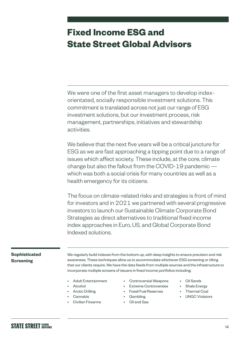# **Fixed Income ESG and State Street Global Advisors**

We were one of the first asset managers to develop indexorientated, socially responsible investment solutions. This commitment is translated across not just our range of ESG investment solutions, but our investment process, risk management, partnerships, initiatives and stewardship activities.

We believe that the next five years will be a critical juncture for ESG as we are fast approaching a tipping point due to a range of issues which affect society. These include, at the core, climate change but also the fallout from the COVID-19 pandemic which was both a social crisis for many countries as well as a health emergency for its citizens.

The focus on climate-related risks and strategies is front of mind for investors and in 2021 we partnered with several progressive investors to launch our Sustainable Climate Corporate Bond Strategies as direct alternatives to traditional fixed income index approaches in Euro, US, and Global Corporate Bond Indexed solutions.

# **Sophisticated Screening**

We regularly build indexes from the bottom up, with deep insights to ensure precision and risk awareness. These techniques allow us to accommodate whichever ESG screening or tilting that our clients require. We have the data feeds from multiple sources and the infrastructure to incorporate multiple screens of issuers in fixed income portfolios including:

- Adult Entertainment
- Alcohol
- Arctic Drilling
- Cannabis
- Civilian Firearms
- Controversial Weapons
- **Extreme Controversies**
- Fossil Fuel Reserves
- Gambling
- Oil and Gas
- Oil Sands
- Shale Energy
- Thermal Coal
- UNGC Violators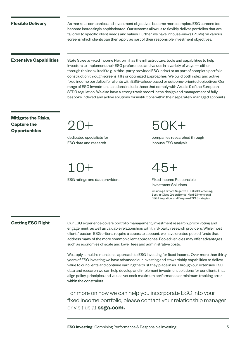#### **Flexible Delivery**

As markets, companies and investment objectives become more complex, ESG screens too become increasingly sophisticated. Our systems allow us to flexibly deliver portfolios that are tailored to specific client needs and values. Further, we have inhouse-views (POVs) on various screens which clients can then apply as part of their responsible investment objectives.

### **Extensive Capabilities**

State Street's Fixed Income Platform has the infrastructure, tools and capabilities to help investors to implement their ESG preferences and values in a variety of ways — either through the index itself (e.g. a third-party provided ESG index) or as part of complete portfolio construction through screens, tilts or optimized approaches. We build both index and active fixed income portfolios for clients with ESG-values-based or outcome-oriented objectives. Our range of ESG investment solutions include those that comply with Article 9 of the European SFDR regulation. We also have a strong track record in the design and management of fully bespoke indexed and active solutions for institutions within their separately managed accounts.

# **Mitigate the Risks, Capture the Opportunities**

20+

dedicated specialists for ESG data and research

10+

ESG ratings and data providers

 $50K+$ 

companies researched through inhouse ESG analysis

45+

Fixed Income Responsible Investment Solutions

Including: Climate Negative ESG Risk Screening, Best-in-Class Green Bonds, Multi-Dimensional ESG Integration, and Bespoke ESG Strategies

### **Getting ESG Right**

Our ESG experience covers portfolio management, investment research, proxy voting and engagement, as well as valuable relationships with third-party research providers. While most clients' custom ESG criteria require a separate account, we have created pooled funds that address many of the more common client approaches. Pooled vehicles may offer advantages such as economies of scale and lower fees and administrative costs.

We apply a multi-dimensional approach to ESG investing for fixed income. Over more than thirty years of ESG investing we have advanced our investing and stewardship capabilities to deliver value to our clients and continue earning the trust they place in us. Through our extensive ESG data and research we can help develop and implement investment solutions for our clients that align policy, principles and values yet seek maximum performance or minimum tracking error within the constraints.

For more on how we can help you incorporate ESG into your fixed income portfolio, please contact your relationship manager or visit us at **ssga.com.**